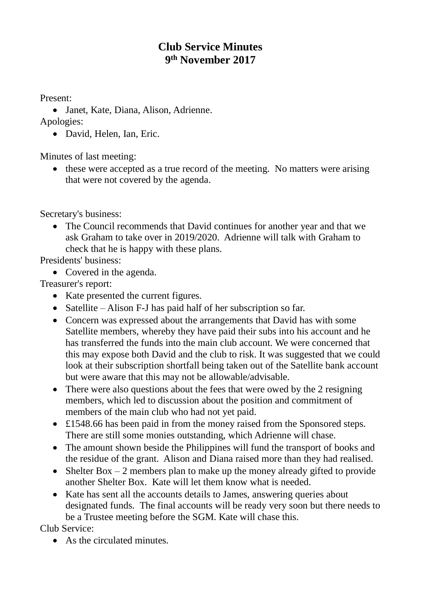## **Club Service Minutes 9 th November 2017**

Present:

• Janet, Kate, Diana, Alison, Adrienne.

Apologies:

• David, Helen, Ian, Eric.

Minutes of last meeting:

• these were accepted as a true record of the meeting. No matters were arising that were not covered by the agenda.

Secretary's business:

• The Council recommends that David continues for another year and that we ask Graham to take over in 2019/2020. Adrienne will talk with Graham to check that he is happy with these plans.

Presidents' business:

• Covered in the agenda.

Treasurer's report:

- Kate presented the current figures.
- Satellite Alison F-J has paid half of her subscription so far.
- Concern was expressed about the arrangements that David has with some Satellite members, whereby they have paid their subs into his account and he has transferred the funds into the main club account. We were concerned that this may expose both David and the club to risk. It was suggested that we could look at their subscription shortfall being taken out of the Satellite bank account but were aware that this may not be allowable/advisable.
- There were also questions about the fees that were owed by the 2 resigning members, which led to discussion about the position and commitment of members of the main club who had not yet paid.
- £1548.66 has been paid in from the money raised from the Sponsored steps. There are still some monies outstanding, which Adrienne will chase.
- The amount shown beside the Philippines will fund the transport of books and the residue of the grant. Alison and Diana raised more than they had realised.
- Shelter Box  $-2$  members plan to make up the money already gifted to provide another Shelter Box. Kate will let them know what is needed.
- Kate has sent all the accounts details to James, answering queries about designated funds. The final accounts will be ready very soon but there needs to be a Trustee meeting before the SGM. Kate will chase this.

Club Service:

• As the circulated minutes.